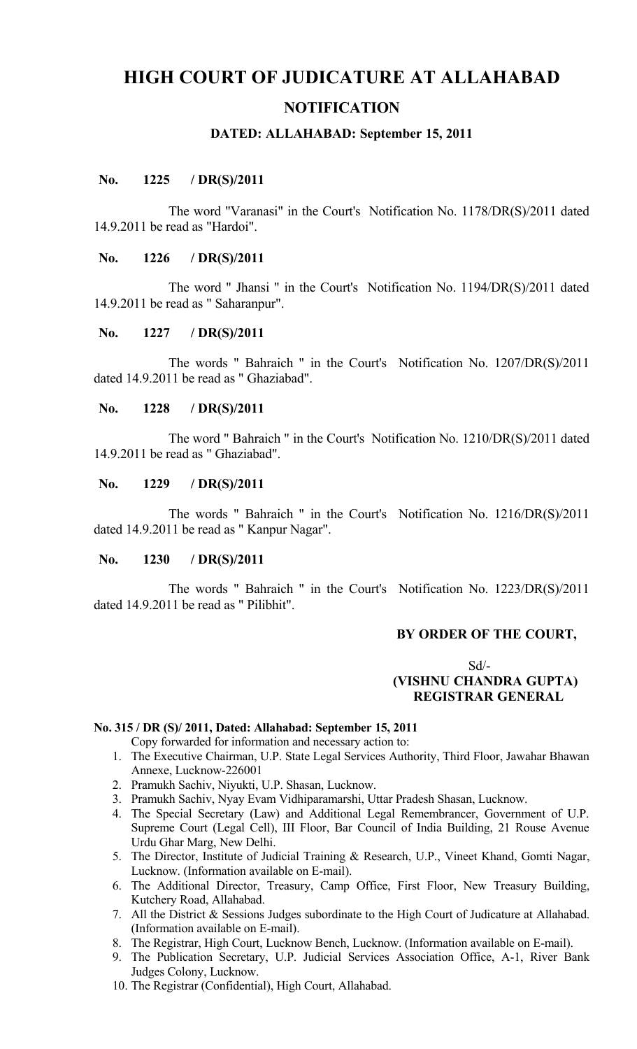# **HIGH COURT OF JUDICATURE AT ALLAHABAD NOTIFICATION**

### **DATED: ALLAHABAD: September 15, 2011**

## **No. 1225 / DR(S)/2011**

The word "Varanasi" in the Court's Notification No. 1178/DR(S)/2011 dated 14.9.2011 be read as "Hardoi".

## **No. 1226 / DR(S)/2011**

The word " Jhansi " in the Court's Notification No. 1194/DR(S)/2011 dated 14.9.2011 be read as " Saharanpur".

#### **No. 1227 / DR(S)/2011**

The words " Bahraich " in the Court's Notification No. 1207/DR(S)/2011 dated 14.9.2011 be read as " Ghaziabad".

#### **No. 1228 / DR(S)/2011**

The word " Bahraich " in the Court's Notification No. 1210/DR(S)/2011 dated 14.9.2011 be read as " Ghaziabad".

#### **No. 1229 / DR(S)/2011**

The words " Bahraich " in the Court's Notification No. 1216/DR(S)/2011 dated 14.9.2011 be read as " Kanpur Nagar".

# **No. 1230 / DR(S)/2011**

The words " Bahraich " in the Court's Notification No. 1223/DR(S)/2011 dated 14.9.2011 be read as " Pilibhit".

#### **BY ORDER OF THE COURT,**

# Sd/-  **(VISHNU CHANDRA GUPTA) REGISTRAR GENERAL**

#### **No. 315 / DR (S)/ 2011, Dated: Allahabad: September 15, 2011**

Copy forwarded for information and necessary action to:

- 1. The Executive Chairman, U.P. State Legal Services Authority, Third Floor, Jawahar Bhawan Annexe, Lucknow-226001
- 2. Pramukh Sachiv, Niyukti, U.P. Shasan, Lucknow.
- 3. Pramukh Sachiv, Nyay Evam Vidhiparamarshi, Uttar Pradesh Shasan, Lucknow.
- 4. The Special Secretary (Law) and Additional Legal Remembrancer, Government of U.P. Supreme Court (Legal Cell), III Floor, Bar Council of India Building, 21 Rouse Avenue Urdu Ghar Marg, New Delhi.
- 5. The Director, Institute of Judicial Training & Research, U.P., Vineet Khand, Gomti Nagar, Lucknow. (Information available on E-mail).
- 6. The Additional Director, Treasury, Camp Office, First Floor, New Treasury Building, Kutchery Road, Allahabad.
- 7. All the District & Sessions Judges subordinate to the High Court of Judicature at Allahabad. (Information available on E-mail).
- 8. The Registrar, High Court, Lucknow Bench, Lucknow. (Information available on E-mail).
- 9. The Publication Secretary, U.P. Judicial Services Association Office, A-1, River Bank Judges Colony, Lucknow.
- 10. The Registrar (Confidential), High Court, Allahabad.